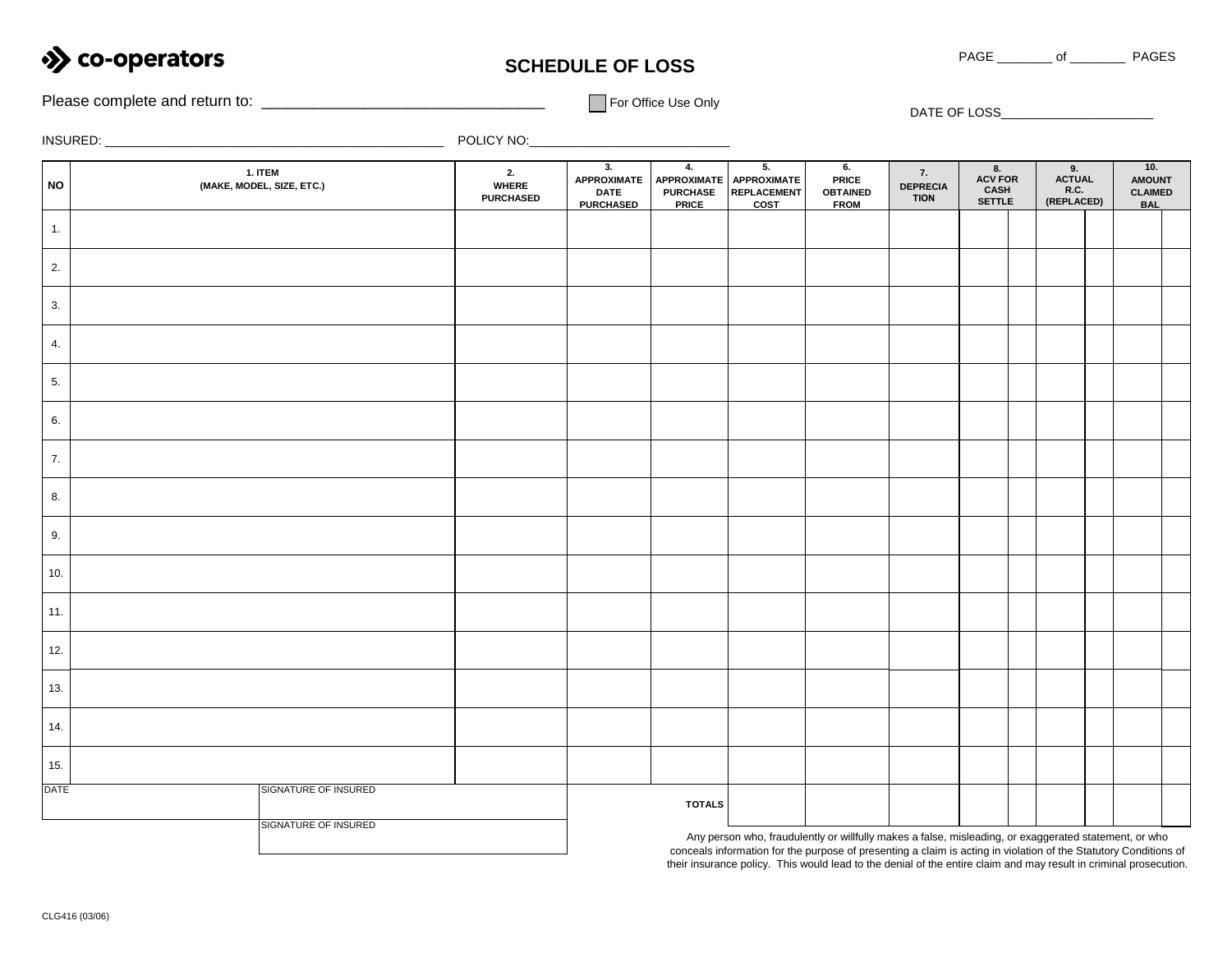

## **SCHEDULE OF LOSS**

Please complete and return to: \_\_\_\_\_\_\_\_\_\_\_\_\_\_\_\_\_\_\_\_\_\_\_\_\_\_\_\_\_\_\_\_\_ For Office Use Only DATE OF LOSS\_\_\_\_\_\_\_\_\_\_\_\_\_\_\_\_\_\_\_\_\_\_

INSURED: \_\_\_\_\_\_\_\_\_\_\_\_\_\_\_\_\_\_\_\_\_\_\_\_\_\_\_\_\_\_\_\_\_\_\_\_\_\_\_\_\_\_\_\_\_\_\_\_\_ POLICY NO:\_\_\_\_\_\_\_\_\_\_\_\_\_\_\_\_\_\_\_\_\_\_\_\_\_\_\_\_\_

| <b>NO</b>   | 1. ITEM<br>(MAKE, MODEL, SIZE, ETC.) | 2.<br><b>WHERE</b><br><b>PURCHASED</b> | 3.<br><b>APPROXIMATE</b><br><b>DATE</b><br><b>PURCHASED</b>                                                                                                                                                               | 4.<br><b>APPROXIMATE</b><br><b>PURCHASE</b><br><b>PRICE</b> | 5.<br><b>APPROXIMATE</b><br><b>REPLACEMENT</b><br><b>COST</b> | 6.<br><b>PRICE</b><br><b>OBTAINED</b><br><b>FROM</b> | 7.<br><b>DEPRECIA</b><br><b>TION</b> | 8.<br><b>ACV FOR</b><br>CASH<br>SETTLE | 9.<br>ACTUAL<br>R.C.<br>(REPLACED) |  | 10.<br><b>AMOUNT</b><br><b>CLAIMED</b><br><b>BAL</b> |  |
|-------------|--------------------------------------|----------------------------------------|---------------------------------------------------------------------------------------------------------------------------------------------------------------------------------------------------------------------------|-------------------------------------------------------------|---------------------------------------------------------------|------------------------------------------------------|--------------------------------------|----------------------------------------|------------------------------------|--|------------------------------------------------------|--|
| 1.          |                                      |                                        |                                                                                                                                                                                                                           |                                                             |                                                               |                                                      |                                      |                                        |                                    |  |                                                      |  |
| 2.          |                                      |                                        |                                                                                                                                                                                                                           |                                                             |                                                               |                                                      |                                      |                                        |                                    |  |                                                      |  |
| 3.          |                                      |                                        |                                                                                                                                                                                                                           |                                                             |                                                               |                                                      |                                      |                                        |                                    |  |                                                      |  |
| 4.          |                                      |                                        |                                                                                                                                                                                                                           |                                                             |                                                               |                                                      |                                      |                                        |                                    |  |                                                      |  |
| 5.          |                                      |                                        |                                                                                                                                                                                                                           |                                                             |                                                               |                                                      |                                      |                                        |                                    |  |                                                      |  |
| 6.          |                                      |                                        |                                                                                                                                                                                                                           |                                                             |                                                               |                                                      |                                      |                                        |                                    |  |                                                      |  |
| 7.          |                                      |                                        |                                                                                                                                                                                                                           |                                                             |                                                               |                                                      |                                      |                                        |                                    |  |                                                      |  |
| 8.          |                                      |                                        |                                                                                                                                                                                                                           |                                                             |                                                               |                                                      |                                      |                                        |                                    |  |                                                      |  |
| 9.          |                                      |                                        |                                                                                                                                                                                                                           |                                                             |                                                               |                                                      |                                      |                                        |                                    |  |                                                      |  |
| 10.         |                                      |                                        |                                                                                                                                                                                                                           |                                                             |                                                               |                                                      |                                      |                                        |                                    |  |                                                      |  |
| 11.         |                                      |                                        |                                                                                                                                                                                                                           |                                                             |                                                               |                                                      |                                      |                                        |                                    |  |                                                      |  |
| 12.         |                                      |                                        |                                                                                                                                                                                                                           |                                                             |                                                               |                                                      |                                      |                                        |                                    |  |                                                      |  |
| 13.         |                                      |                                        |                                                                                                                                                                                                                           |                                                             |                                                               |                                                      |                                      |                                        |                                    |  |                                                      |  |
| 14.         |                                      |                                        |                                                                                                                                                                                                                           |                                                             |                                                               |                                                      |                                      |                                        |                                    |  |                                                      |  |
| 15.         |                                      |                                        |                                                                                                                                                                                                                           |                                                             |                                                               |                                                      |                                      |                                        |                                    |  |                                                      |  |
| <b>DATE</b> | SIGNATURE OF INSURED                 |                                        |                                                                                                                                                                                                                           | <b>TOTALS</b>                                               |                                                               |                                                      |                                      |                                        |                                    |  |                                                      |  |
|             | <b>SIGNATURE OF INSURED</b>          |                                        | Any person who, fraudulently or willfully makes a false, misleading, or exaggerated statement, or who<br>conceals information for the purpose of presenting a claim is acting in violation of the Statutory Conditions of |                                                             |                                                               |                                                      |                                      |                                        |                                    |  |                                                      |  |

conceals information for the purpose of presenting a claim is acting in violation of the Statutory Conditions of their insurance policy. This would lead to the denial of the entire claim and may result in criminal prosecution.